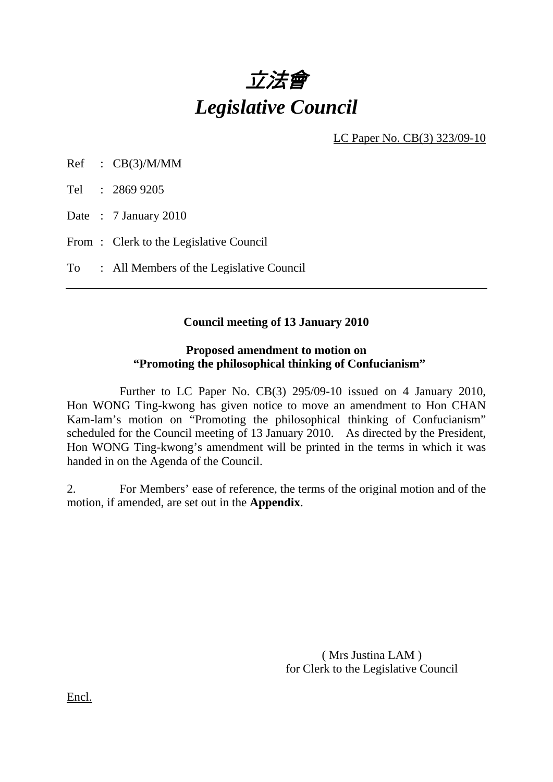

LC Paper No. CB(3) 323/09-10

Ref : CB(3)/M/MM

Tel : 2869 9205

Date : 7 January 2010

From: Clerk to the Legislative Council

To : All Members of the Legislative Council

# **Council meeting of 13 January 2010**

#### **Proposed amendment to motion on "Promoting the philosophical thinking of Confucianism"**

 Further to LC Paper No. CB(3) 295/09-10 issued on 4 January 2010, Hon WONG Ting-kwong has given notice to move an amendment to Hon CHAN Kam-lam's motion on "Promoting the philosophical thinking of Confucianism" scheduled for the Council meeting of 13 January 2010. As directed by the President, Hon WONG Ting-kwong's amendment will be printed in the terms in which it was handed in on the Agenda of the Council.

2. For Members' ease of reference, the terms of the original motion and of the motion, if amended, are set out in the **Appendix**.

> ( Mrs Justina LAM ) for Clerk to the Legislative Council

Encl.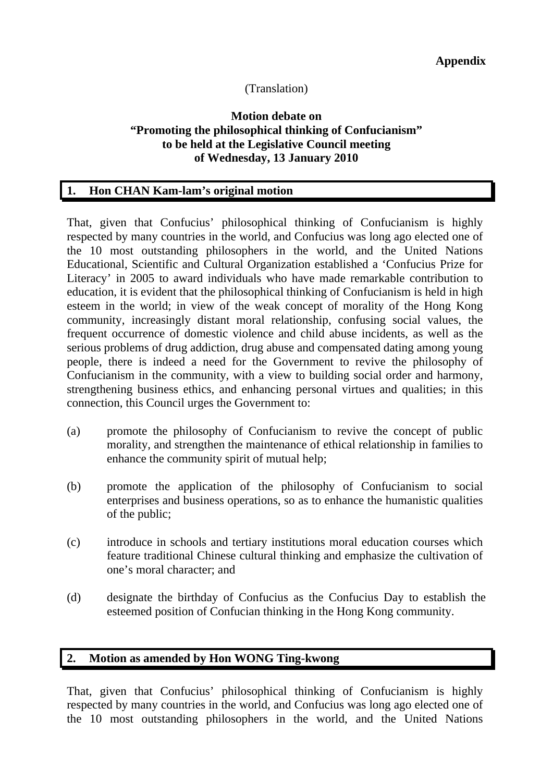# (Translation)

# **Motion debate on "Promoting the philosophical thinking of Confucianism" to be held at the Legislative Council meeting of Wednesday, 13 January 2010**

## **1. Hon CHAN Kam-lam's original motion**

That, given that Confucius' philosophical thinking of Confucianism is highly respected by many countries in the world, and Confucius was long ago elected one of the 10 most outstanding philosophers in the world, and the United Nations Educational, Scientific and Cultural Organization established a 'Confucius Prize for Literacy' in 2005 to award individuals who have made remarkable contribution to education, it is evident that the philosophical thinking of Confucianism is held in high esteem in the world; in view of the weak concept of morality of the Hong Kong community, increasingly distant moral relationship, confusing social values, the frequent occurrence of domestic violence and child abuse incidents, as well as the serious problems of drug addiction, drug abuse and compensated dating among young people, there is indeed a need for the Government to revive the philosophy of Confucianism in the community, with a view to building social order and harmony, strengthening business ethics, and enhancing personal virtues and qualities; in this connection, this Council urges the Government to:

- (a) promote the philosophy of Confucianism to revive the concept of public morality, and strengthen the maintenance of ethical relationship in families to enhance the community spirit of mutual help;
- (b) promote the application of the philosophy of Confucianism to social enterprises and business operations, so as to enhance the humanistic qualities of the public;
- (c) introduce in schools and tertiary institutions moral education courses which feature traditional Chinese cultural thinking and emphasize the cultivation of one's moral character; and
- (d) designate the birthday of Confucius as the Confucius Day to establish the esteemed position of Confucian thinking in the Hong Kong community.

# **2. Motion as amended by Hon WONG Ting-kwong**

That, given that Confucius' philosophical thinking of Confucianism is highly respected by many countries in the world, and Confucius was long ago elected one of the 10 most outstanding philosophers in the world, and the United Nations